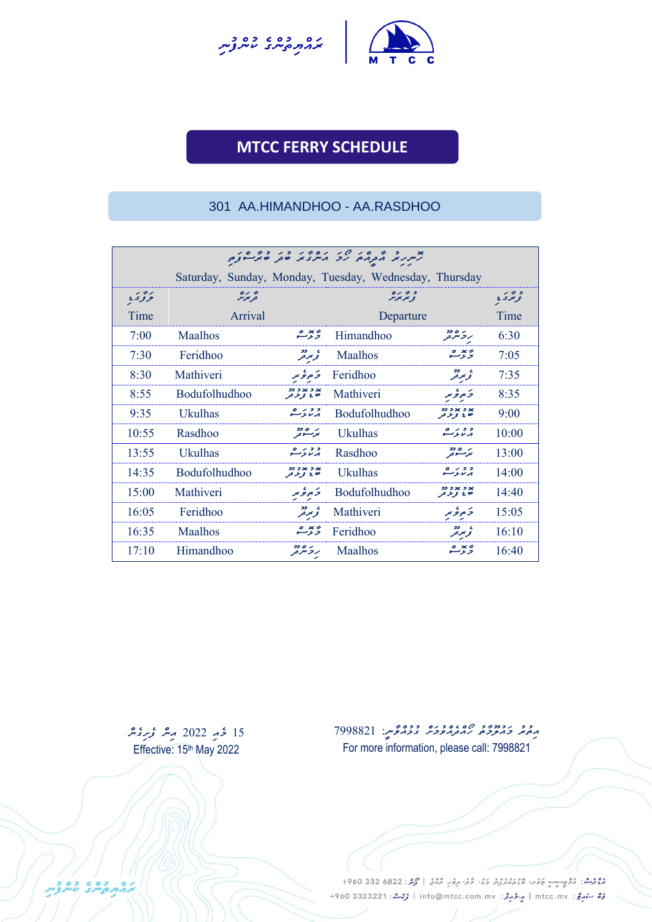



**UNCH SCHEDULE**

### 301 AA.HIMANDHOO - AA.RASDHOO

|               |                      |                                   | Saturday, Sunday, Monday, Tuesday, Wednesday, Thursday |                                   |       |  |
|---------------|----------------------|-----------------------------------|--------------------------------------------------------|-----------------------------------|-------|--|
| - 4 -<br>ミンタナ | 0 < 4<br>فويموس      |                                   | 0/43<br>ويويوس                                         |                                   | ويوى  |  |
| Time          | Arrival              |                                   | Departure                                              |                                   | Time  |  |
| 7:00          | Maalhos              | پ <sup>ې</sup> چې شه              | Himandhoo                                              | ر ه دد<br>روسرتر                  | 6:30  |  |
| 7:30          | Feridhoo             | ه ردد.<br>تومير فر                | <b>Maalhos</b>                                         | $\circ$ $\times$ $\circ$<br>وءسه  | 7:05  |  |
| 8:30          | Mathiveri            | ئەھەتىر                           | Feridhoo                                               | ء ردد<br>تومير فر                 | 7:35  |  |
| 8:55          | <b>Bodufolhudhoo</b> | $22.2 \times 2.25$<br>ن ع تو عربو | Mathiveri                                              | خ ھوڭمىر                          | 8:35  |  |
| 9:35          | <b>Ukulhas</b>       | ەرىرىشە                           | Bodufolhudhoo                                          | $22.2 \times 2.26$<br>د د تو د تر | 9:00  |  |
| 10:55         | Rasdhoo              | برمصطر                            | <b>Ukulhas</b>                                         | $0 \rightarrow 22$<br>برىرىسى     | 10:00 |  |
| 13:55         | <b>Ukulhas</b>       | $0 \times 22$<br>منعوسه           | Rasdhoo                                                | ر ەدد<br>بوسندفر                  | 13:00 |  |
| 14:35         | <b>Bodufolhudhoo</b> | $22.2 \times 2.25$<br>د د و د در  | <b>Ukulhas</b>                                         | $0 \rightarrow 22$<br>برىدىسى     | 14:00 |  |
| 15:00         | Mathiveri            | 5ەۋىر                             | <b>Bodufolhudhoo</b>                                   | $22.2 \times 2.26$<br>د د تو د تر | 14:40 |  |
| 16:05         | Feridhoo             | ے ۔<br>تر بر تر                   | Mathiveri                                              | 5 موٹو سر                         | 15:05 |  |
| 16:35         | <b>Maalhos</b>       | ئەسىز ھە                          | Feridhoo                                               | ه دو<br>توميز تو                  | 16:10 |  |
| 17:10         | Himandhoo            | ر ه دد<br>ر و سر در               | <b>Maalhos</b>                                         | $o \times o$<br>وتوسع             | 16:40 |  |

15 *ځو 2*022 مِنٹر مُر<sub>ْمَ</sub>مِنٹر Effective: 15<sup>th</sup> May 2022

د د دودود ه ه دوه دوه حمير: 7998821<br>پرچيم ويربروجي رير تربروجيز ويريرفيس: 7998821 For more information, please call: 7998821

دوم و.<br>موسم : مُرُوسِب يَوَسُ عَدَسَ مُسْتَمَرُّثَرَ وَفَىٰ وَفَىٰ مِرْمَرٍ مُرْمَعُ | مُرْمَرٌ : 6822 330 960+ مُرُّ سَهرِجٌ : mtcc.mv | مِرْدُ مِرْدُ : info@mtcc.com.mv | مُرْحَدٌ : 4960 3323221 +960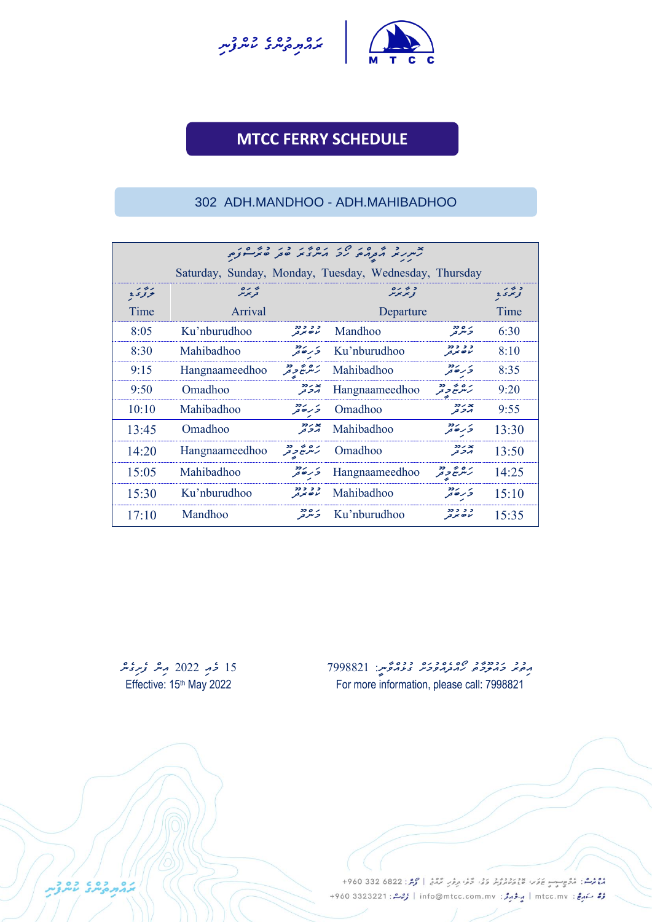



UNCH SCHEDULE

#### 302 ADH.MANDHOO - ADH.MAHIBADHOO

|       | ג.<br>תיית תב א באורים איב א מייני בי שית יינים        |                                                                          |                |                                                            |       |  |  |  |
|-------|--------------------------------------------------------|--------------------------------------------------------------------------|----------------|------------------------------------------------------------|-------|--|--|--|
|       | Saturday, Sunday, Monday, Tuesday, Wednesday, Thursday |                                                                          |                |                                                            |       |  |  |  |
| وددد  | پر رہ<br>حریمز س                                       | アメメヌ                                                                     |                | وترى                                                       |       |  |  |  |
| Time  | Arrival                                                |                                                                          | Departure      |                                                            |       |  |  |  |
| 8:05  | Ku'nburudhoo                                           | د د د دد<br>لاه بر تر                                                    | Mandhoo        | وشرفر                                                      | 6:30  |  |  |  |
| 8:30  | Mahibadhoo                                             | ىز رەدد                                                                  | Ku'nburudhoo   | ,,,,,<br>را ق بحر قر                                       | 8:10  |  |  |  |
| 9:15  | Hangnaameedhoo                                         | ر ۵ ه په دو                                                              | Mahibadhoo     | ى رەدد<br>جەرھەتىر                                         | 8:35  |  |  |  |
| 9:50  | Omadhoo                                                | x ر دد<br>ار تر تر                                                       | Hangnaameedhoo | $22 - 60$<br>ر سرسے حر مر                                  | 9:20  |  |  |  |
| 10:10 | Mahibadhoo                                             | ىر رەد                                                                   | Omadhoo        | $22 - 36$<br>بروتو                                         | 9:55  |  |  |  |
| 13:45 | Omadhoo                                                | × ر دو<br>ابر 7 قر                                                       | Mahibadhoo     | >> /<br>و رہ تر                                            | 13:30 |  |  |  |
| 14:20 | Hangnaameedhoo                                         | $\mathfrak{p}\rightarrow\mathfrak{o}\times$<br>رسرسے م <sub>ح</sub> د فر | Omadhoo        | 22 / 30<br>بر د تر                                         | 13:50 |  |  |  |
| 15:05 | Mahibadhoo                                             | ى رەدد<br>جەرھەتىر                                                       | Hangnaameedhoo | $\rightarrow$ 0 $\prime$<br>ر سر سے م <sub>ر</sub> تر<br>ح | 14:25 |  |  |  |
| 15:30 | Ku'nburudhoo                                           | د د دد<br>لاه بر تر                                                      | Mahibadhoo     | $\overline{\phantom{a}}$<br>و رہ تر                        | 15:10 |  |  |  |
| 17:10 | Mandhoo                                                | ر ه دد<br>تر سر تر                                                       | Ku'nburudhoo   | ,,,,,<br>ر ده بر در                                        | 15:35 |  |  |  |

*15 މެއި 2022 އިން ފެށިގެން* Effective: 15<sup>th</sup> May 2022

בפת המשיב עיתו

د د د دود ده ماه دوره دوه حبر: 7998821<br>پرچند <del>د برن</del>وم ربزورخوش د دونوس: 7998821 For more information, please call: 7998821

وووس، مُرُوسِيِّ عَامَةٍ، مَدْيَرُ دَرُّ، مَنْ مَرَّ مِرَّمَ مِرْمَةٍ | مُرْكَّرُ: 822 680 960+ مُرُّ سَهرِجٌ : mtcc.mv | مِرْدُ مِرْدُ : info@mtcc.com.mv | مُرْحَدٌ : 4960 3323221 +960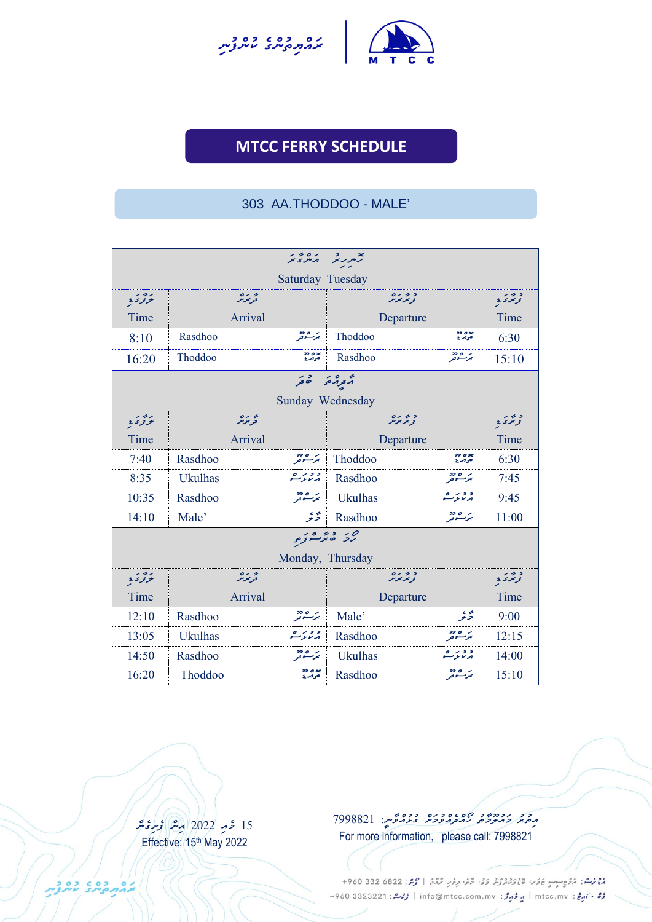



**UNCH SCHEDULE**

#### 303 AA.THODDOO - MALE'

| xsxin zurz |                |                      |                         |                     |       |
|------------|----------------|----------------------|-------------------------|---------------------|-------|
|            |                | Saturday Tuesday     |                         |                     |       |
| بروی       | تحريخر         |                      | وترىرە                  |                     | وبور  |
| Time       | Arrival        |                      | Departure               |                     | Time  |
| 8:10       | Rasdhoo        | برعية                | Thoddoo                 | ×ه دد<br>حرم د      | 6:30  |
| 16:20      | Thoddoo        | ×ه دد<br>حرم د       | Rasdhoo                 | برعادد              | 15:10 |
|            |                | הבנהם כל             |                         |                     |       |
|            |                | Sunday Wednesday     |                         |                     |       |
| برودي      | ترىرە          |                      | ويحرمو                  |                     | ويردر |
| Time       | Arrival        |                      | Departure               |                     | Time  |
| 7:40       | Rasdhoo        | برعية                | Thoddoo                 | 2200x<br>حوبرع      | 6:30  |
| 8:35       | <b>Ukulhas</b> | د دره په             | Rasdhoo                 | برعادد              | 7:45  |
| 10:35      | Rasdhoo        | بر ۵۵ دو<br>بوکستونو | <b>Ukulhas</b>          | د دېږگ              | 9:45  |
| 14:10      | Male'          | پەي<br>خىر           | Rasdhoo                 | برعية               | 11:00 |
|            |                |                      | ەر دەرەر.<br>رىز ھۆسىزە |                     |       |
|            |                | Monday, Thursday     |                         |                     |       |
| بزدد       | تحريمز تر      |                      | ويحرمره                 |                     | ويزى  |
| Time       | Arrival        |                      | Departure               |                     | Time  |
| 12:10      | Rasdhoo        | بر ۵۵۰۰<br>بوڪسوتو   | Male'                   | پەي<br>خەنر         | 9:00  |
| 13:05      | <b>Ukulhas</b> | د در ع               | Rasdhoo                 | بر ۱۵ دو<br>بوگسترو | 12:15 |
| 14:50      | Rasdhoo        | برعية                | <b>Ukulhas</b>          | درېږگ               | 14:00 |
| 16:20      | Thoddoo        | 2202<br>صمرة         | Rasdhoo                 | بر ۱۵ دو<br>بوگسترو | 15:10 |

15 محمدِ 2022 مِنْ وَسِرْ مِحْسِ Effective: 15th May 2022

*އިތުރު މައުލޫމާތު ހޯއްދެއްވުމަށް ގުޅުއްވާނ:ީ 7998821* For more information, please call: 7998821

دوم و.<br>موسم : مُرُوسِب يَوَسُ عَدَسَ مُسْتَمَرُّثَرَ وَفَىٰ وَفَىٰ مِرْمَرٍ مُرْمَعُ | مُرْمَرٌ : 6822 330 960+ مُرُّ سَهرِجٌ : mtcc.mv | مِرْدُ مِرْدُ : info@mtcc.com.mv | مُرْحَدٌ : 4960 3323221 +960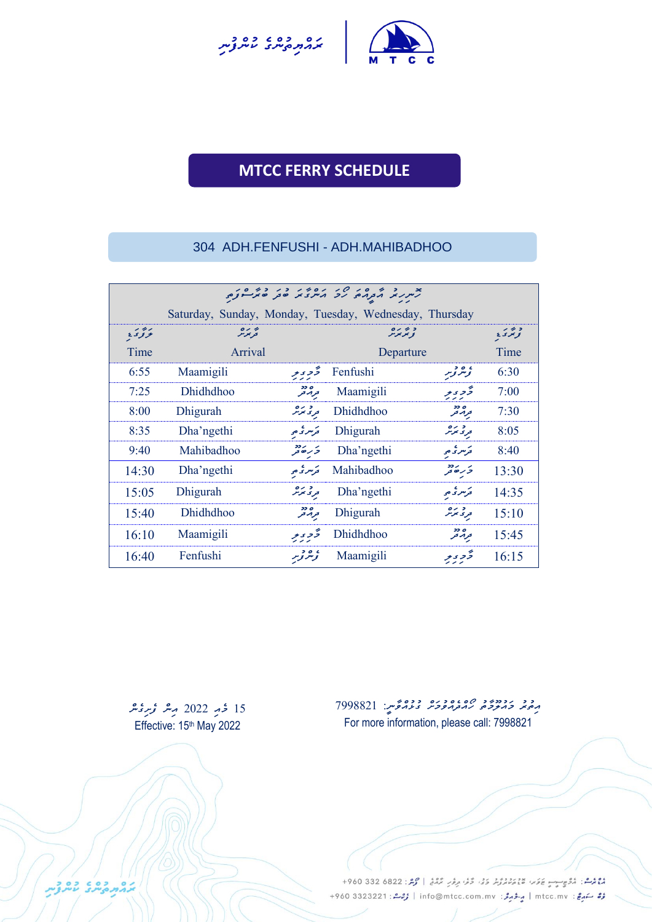



**UNCH SCHEDULE**

### 304 ADH.FENFUSHI - ADH.MAHIBADHOO

|       | x and a served to see the completion of the completion of the completion of the completion of the completion of the completion of the completion of the completion of the completion of the completion of the completion of t |                  |                  |                       |       |  |  |  |
|-------|-------------------------------------------------------------------------------------------------------------------------------------------------------------------------------------------------------------------------------|------------------|------------------|-----------------------|-------|--|--|--|
|       | Saturday, Sunday, Monday, Tuesday, Wednesday, Thursday                                                                                                                                                                        |                  |                  |                       |       |  |  |  |
| وددد  | فرنموس                                                                                                                                                                                                                        |                  | ويريزش           |                       | وبردر |  |  |  |
| Time  | Arrival                                                                                                                                                                                                                       |                  | Departure        |                       | Time  |  |  |  |
| 6:55  | Maamigili                                                                                                                                                                                                                     | تخرى يو          | Fenfushi         | ، و د <sub>نوبر</sub> | 6:30  |  |  |  |
| 7:25  | <b>Dhidhdhoo</b>                                                                                                                                                                                                              | ه دد<br>ترار تر  | Maamigili        | تحرير                 | 7:00  |  |  |  |
| 8:00  | Dhigurah                                                                                                                                                                                                                      | و رہ<br>تری پوٹر | Dhidhdhoo        | ه دد<br>ترار تر       | 7:30  |  |  |  |
| 8:35  | Dha'ngethi                                                                                                                                                                                                                    | تحرسر تحاص       | Dhigurah         | و رہ<br>وری موثر      | 8:05  |  |  |  |
| 9:40  | Mahibadhoo                                                                                                                                                                                                                    | ىز رەدد          | Dha'ngethi       | ترسر کی حی            | 8:40  |  |  |  |
| 14:30 | Dha'ngethi                                                                                                                                                                                                                    | تحرسر تحاص       | Mahibadhoo       | ى رەدد<br>جەرھەتىر    | 13:30 |  |  |  |
| 15:05 | Dhigurah                                                                                                                                                                                                                      | و د برد          | Dha'ngethi       | ترسر ثم م             | 14:35 |  |  |  |
| 15:40 | <b>Dhidhdhoo</b>                                                                                                                                                                                                              | ه دد<br>ترار تر  | Dhigurah         | تری ترگر              | 15:10 |  |  |  |
| 16:10 | Maamigili                                                                                                                                                                                                                     | تحويو            | <b>Dhidhdhoo</b> | ه دد<br>ترار تر       | 15:45 |  |  |  |
| 16:40 | Fenfushi                                                                                                                                                                                                                      | ، ە دېر          | Maamigili        | تحوي ير               | 16:15 |  |  |  |

15 *ځو 2*022 مِس *فري*عد Effective: 15<sup>th</sup> May 2022

د د دودود ه 299882 ده دوونوس: 7998821 For more information, please call: 7998821

دوم و.<br>موسم : مُرُوسِب يَوَسُ عَدَسَ مُسْتَمَرُّثَرَ وَفَىٰ وَفَىٰ مِرْمَرٍ مُرْمَعُ | مُرْمَرٌ : 6822 330 960+ رُرُّ سَهرِجْ: mtcc.mv | مِرْدُ جَرَمْرُ: info@mtcc.com.mv | رُحِمْ : 4960 3323221 +960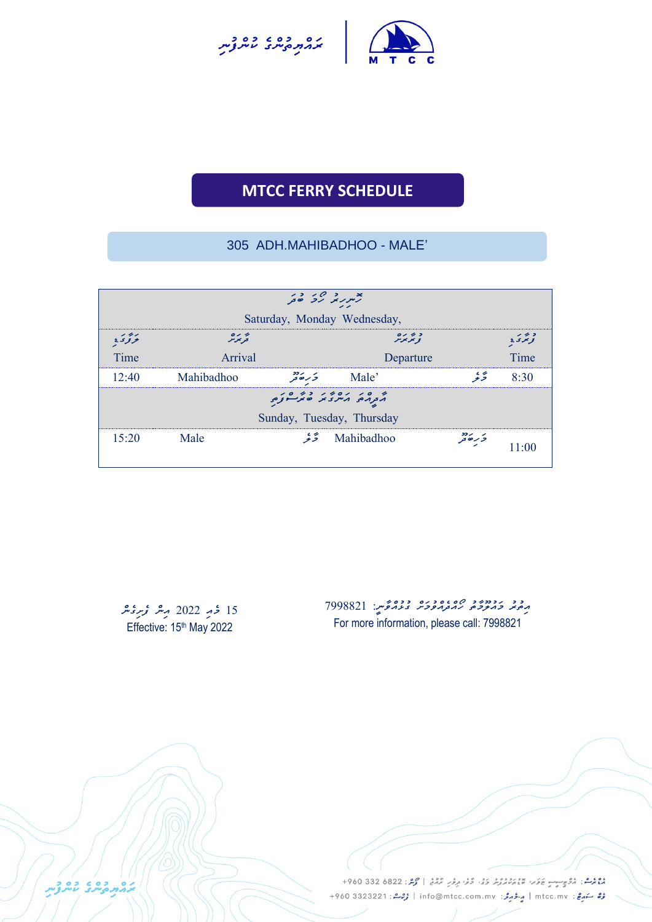



**UNCH SCHEDULE**

### 305 ADH.MAHIBADHOO - MALE'

|       |                | بعربر رد در           |                             |                      |       |
|-------|----------------|-----------------------|-----------------------------|----------------------|-------|
|       |                |                       | Saturday, Monday Wednesday, |                      |       |
| برودي | ه ره<br>تربوتر |                       | 0/43<br>ويريرس              |                      | وبور  |
| Time  | Arrival        |                       | Departure                   |                      | Time  |
| 12:40 | Mahibadhoo     | تر رکھ <del>ت</del> ر | Male'                       | رمحية                | 8.30  |
|       |                |                       |                             |                      |       |
|       |                |                       | Sunday, Tuesday, Thursday   |                      |       |
| 15:20 | Male           |                       | Mahibadhoo كَتْتْر          | تر ره دد<br>تر ره تر | 11.OC |

*15 މެއި 2022 އިން ފެށިގެން* Effective: 15<sup>th</sup> May 2022

د د رددده د ه د ده د ده محمد: 7998821<br>په پنجر څه پوځو مه ترمومو د عدمتوس: 7998821 For more information, please call: 7998821

ووم و مركز بركز المستور المستقرر المركز المحركة المركز في المحمد المحمد المحمد المحمد المستقبل المحمد المستقبل المحمد المستقبل المحمد المستقبل المحمد المستقبل المحمد المستقبل المحمد المستقبل المحمد المستقبل المحمد المستقب رُرُّ سَهرِجْ: mtcc.mv | مِرْدُ جَرَمْرُ: info@mtcc.com.mv | رُحِمْ : 4960 3323221 +960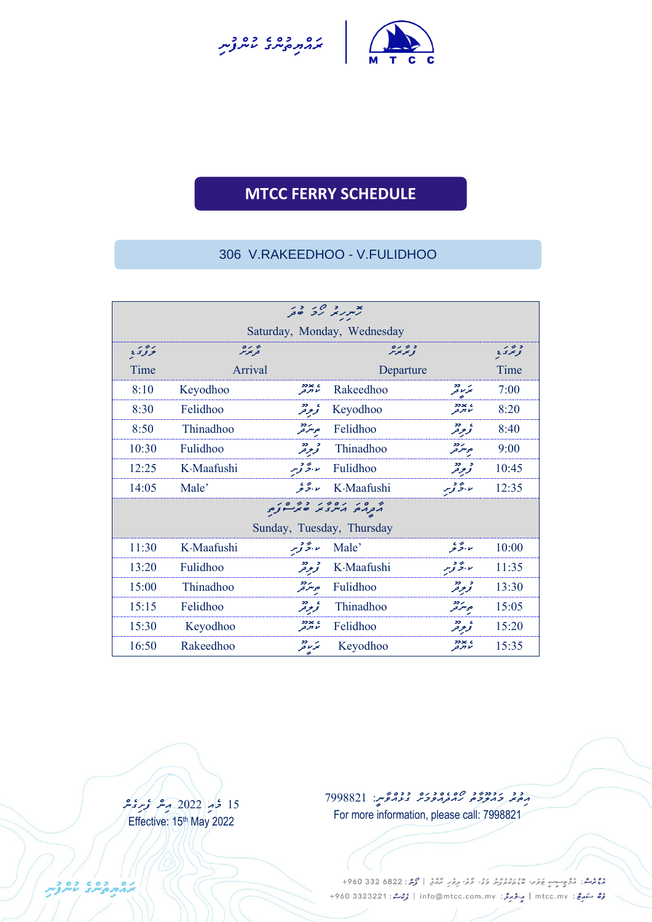



**UNCH SCHEDULE**

#### 306 V.RAKEEDHOO - V.FULIDHOO

| بد په درج کرد ور |                                 |                                                                     |                             |                                         |       |  |
|------------------|---------------------------------|---------------------------------------------------------------------|-----------------------------|-----------------------------------------|-------|--|
|                  |                                 |                                                                     | Saturday, Monday, Wednesday |                                         |       |  |
| - 4 -<br>تروى    | یز بر ہ<br>قریمز <sub>م</sub> ر |                                                                     | 0/ 2 3<br>ويريزنر           |                                         | ويرىء |  |
| Time             | Arrival                         |                                                                     | Departure                   |                                         | Time  |  |
| 8:10             | Keyodhoo                        | ه xدد<br>۱۶ تاریخ                                                   | Rakeedhoo                   | 22<br>بتزرد قتر                         | 7:00  |  |
| 8:30             | Felidhoo                        | ، دو<br>تو <del>م</del> رفر                                         | Keyodhoo                    | 2226C<br>مأالرقو                        | 8:20  |  |
| 8:50             | Thinadhoo                       | קבב<br>ס <sub>ב</sub> ית <sub>בק</sub>                              | Felidhoo                    | ، دو<br>تو <del>ت</del> رفر             | 8:40  |  |
| 10:30            | <b>Fulidhoo</b>                 | و دو.<br>تو <del>م</del> رتر                                        | Thinadhoo                   | קבב<br>ב <sub>ז</sub> ית ב <sub>ק</sub> | 9:00  |  |
| 12:25            | K.Maafushi                      | ر برگ توسر                                                          | Fulidhoo                    | و دو.<br>تو <del>ب</del> رفر            | 10:45 |  |
| 14:05            | Male'                           | ىد، ئەنجە                                                           | K·Maafushi                  | ىد، ئۇ توپىر                            | 12:35 |  |
|                  |                                 | ו סי יסדי כדיסי.<br>ג <sub>ב</sub> גם גית צ'ב של <del>י נ</del> צים |                             |                                         |       |  |
|                  |                                 |                                                                     | Sunday, Tuesday, Thursday   |                                         |       |  |
| 11:30            | K-Maafushi                      | ىد ، بىچە توپىر                                                     | Male'                       | ىد، ئەنجە                               | 10:00 |  |
| 13:20            | Fulidhoo                        | و دو.<br>تو <del>ع</del> رفر                                        | K-Maafushi                  | ىد، ئۇ توپر                             | 11:35 |  |
| 15:00            | Thinadhoo                       | נכב<br>בניית בק                                                     | Fulidhoo                    | و دو.<br>تو <del>ب</del> ر تر           | 13:30 |  |
| 15:15            | Felidhoo                        | ، دو<br>تو <del>ع</del> رفر                                         | Thinadhoo                   | ر دد<br>حرسر تر                         | 15:05 |  |
| 15:30            | Keyodhoo                        | 22266<br>ما الرقو                                                   | Felidhoo                    | ، دو<br>تومی <sup>و</sup> تر            | 15:20 |  |
| 16:50            | Rakeedhoo                       | بر دد<br>بو د تر                                                    | Keyodhoo                    | لأالزقو                                 | 15:35 |  |

15 خ<sub>م</sub>ر 2022 مشر مح*مرة م*ثر Effective: 15<sup>th</sup> May 2022

*އިތުރު މައުލޫމާތު ހޯއްދެއްވުމަށް ގުޅުއްވާނ:ީ 7998821* For more information, please call: 7998821

دوم و.<br>موسم : مُرُوسِب يَوَسُ عَدَسَ مُسْتَمَرُّثَرَ وَفَىٰ وَفَىٰ مِرْمَرٍ مُرْمَعُ | مُرْمَرٌ : 6822 330 960+ مُرُّ سَهرِجٌ : mtcc.mv | مِرْدُ مِرْدُ : info@mtcc.com.mv | مُرْحَدٌ : 4960 3323221 +960

בלתפטים בברית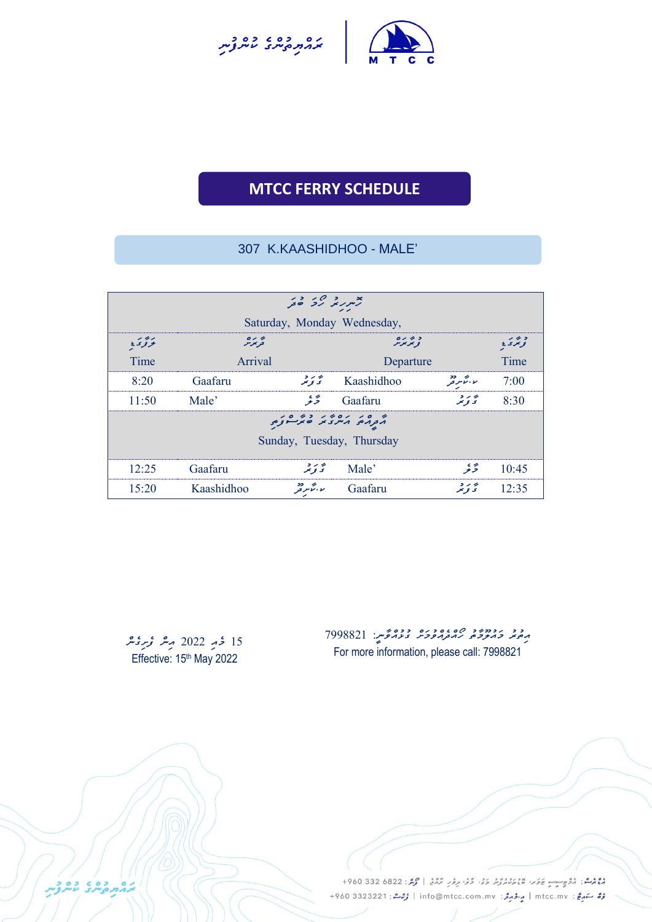



**UNCH SCHEDULE**

## 307 K.KAASHIDHOO - MALE'

|                             | بعربر مرکز ص <sub>حر</sub>  |                           |            |                                 |                     |  |  |
|-----------------------------|-----------------------------|---------------------------|------------|---------------------------------|---------------------|--|--|
| Saturday, Monday Wednesday, |                             |                           |            |                                 |                     |  |  |
| وودي                        | $\circ$ / $\circ$<br>فويجوس |                           | وترىره     |                                 | د برنې<br>تر تر د د |  |  |
| Time                        | Arrival                     |                           | Departure  |                                 | Time                |  |  |
| 8:20                        | Gaafaru                     | به رو<br>کالاتو تنم       | Kaashidhoo | ر بر میگردد.<br>را بر کاملر قبل | 7:00                |  |  |
| 11:50                       | Male'                       | ىپىسى بە                  | Gaafaru    | په بر د<br>تر تو تنر            | 8:30                |  |  |
|                             |                             |                           |            |                                 |                     |  |  |
|                             | Sunday, Tuesday, Thursday   |                           |            |                                 |                     |  |  |
| 12:25                       | Gaafaru                     | به رو<br>تح <b>تو</b> نتر | Male'      | ى<br>خىر                        | 10:45               |  |  |
| 15:20                       | Kaashidhoo                  | ر به مرد<br>را مرد        | Gaafaru    | ی دی.<br>تح <b>او</b> نو        | 12:35               |  |  |

15 *ځو 2*022 مِعْر مُحرِمِعْد Effective: 15<sup>th</sup> May 2022

د د د دود پره ۲۶۶۵۵۵ د دونمبر: 7998821<br>پرچیم ویروحی ریرورپوس <sub>ک</sub>ریرومبر: 799882 For more information, please call: 7998821

دوم شا. دُوْمٍ جَامِرَ عَامَرَ الْمُسْتَمَرِيْرُ وَفِي وَمُنْ يَرْمُرُ إِنْ مُسْتَمَرٍ إِنْ مِنْ 22 332 960 + مُرُّ سَهرِجٌ : mtcc.mv | مِرْدُ مِرْدُ : info@mtcc.com.mv | مُرْحَدٌ : 4960 3323221 +960

COCORDINAL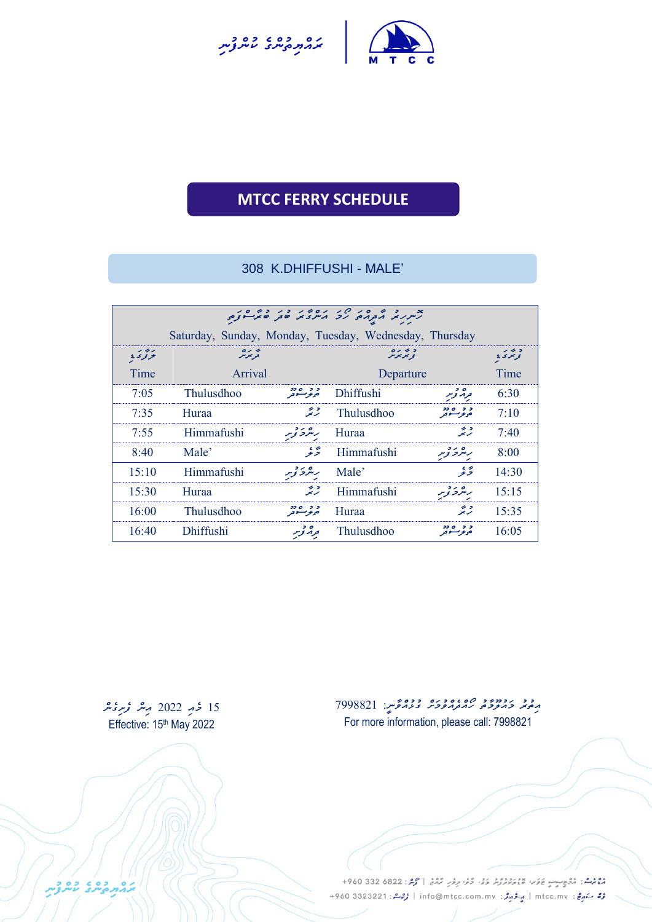



UNCH SCHEDULE

### 308 K.DHIFFUSHI - MALE'

| Saturday, Sunday, Monday, Tuesday, Wednesday, Thursday |                                                         |                      |                   |                        |       |  |  |
|--------------------------------------------------------|---------------------------------------------------------|----------------------|-------------------|------------------------|-------|--|--|
| ووى                                                    | و تر بره<br>و بر بر بر<br>پر رہ<br>تریمز <sub>س</sub> ر |                      |                   | و برگ                  |       |  |  |
| Time                                                   | Arrival                                                 |                      | Departure         |                        | Time  |  |  |
| 7:05                                                   | <b>Thulusdhoo</b>                                       | د د مودد<br>حور سوتر | <b>Dhiffushi</b>  | توه توبر               | 6:30  |  |  |
| 7:35                                                   | Huraa                                                   | رميتمه               | <b>Thulusdhoo</b> | د د ۱۵ ود<br>حوفر سوفر | 7:10  |  |  |
| 7:55                                                   | Himmafushi                                              | ر پڻرو توسر          | Huraa             | رميته                  | 7:40  |  |  |
| 8:40                                                   | Male'                                                   | ىچە ئە               | Himmafushi        | ر پر د توسر            | 8:00  |  |  |
| 15:10                                                  | Himmafushi                                              | ر پر د بویر          | Male'             | ځه پې                  | 14:30 |  |  |
| 15:30                                                  | Huraa                                                   | رتيته                | Himmafushi        | ر پر د بویر            | 15:15 |  |  |
| 16:00                                                  | <b>Thulusdhoo</b>                                       | د د ۱۵ ود<br>حوم عو  | Huraa             | ⇒ ><br>زيز             | 15:35 |  |  |
| 16:40                                                  | <b>Dhiffushi</b>                                        | تر پر توسر           | Thulusdhoo        | ,,,,,<br>موموسسوتو     | 16:05 |  |  |

15 *ځو 2*022 مِس *ؤېر قب* Effective: 15<sup>th</sup> May 2022

د د دودود ه 299882 ده دوونوس: 7998821 For more information, please call: 7998821

دوم و.<br>موسم : مُرُوسِب يَوَسُ عَدَسَ مُسْتَمَرُّثَرَ وَفَىٰ وَفَىٰ مِرْمَرٍ مُرْمَعُ | مُرْمَرٌ : 6822 330 960+ مُرُّ سَهرِجٌ : mtcc.mv | مِرْدُ مِرْدُ : info@mtcc.com.mv | مُرْحَدٌ : 4960 3323221 +960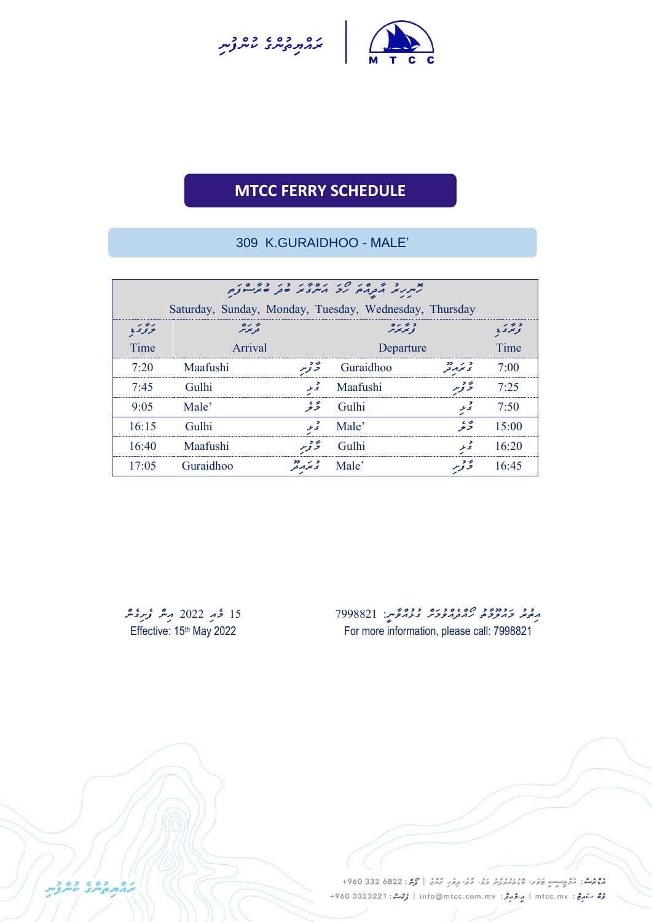



# **MTCC FERRY SCHEDULE** UNCH SCHEDULE

### 309 K.GURAIDHOO - MALE'

| Saturday, Sunday, Monday, Tuesday, Wednesday, Thursday |                           |                        |           |                       |                   |  |  |
|--------------------------------------------------------|---------------------------|------------------------|-----------|-----------------------|-------------------|--|--|
| بزدد                                                   | پر ده<br>توپوس<br>و ترىرە |                        |           |                       | و بر<br>تو تر ی ع |  |  |
| Time                                                   | Arrival                   |                        | Departure |                       | Time              |  |  |
| 7:20                                                   | Maafushi                  | ۇ توپر                 | Guraidhoo | د بر دد.<br>پی مرد فر | 7:00              |  |  |
| 7.45                                                   | Gulhi                     | تحرعر                  | Maafushi  | ء د<br>5 نوسر         | 7:25              |  |  |
| 9:05                                                   | Male'                     | ىچە ئە                 | Gulhi     | و<br>تى عر            | 7:50              |  |  |
| 16:15                                                  | Gulhi                     | تحرعر                  | Male'     | رمحية                 | 15:00             |  |  |
| 16:40                                                  | Maafushi                  | ۇ توپر                 | Gulhi     | ۔<br>تی عر            | 16:20             |  |  |
| 17:05                                                  | Guraidhoo                 | د بر دد.<br>پی مرمر فر | Male'     | ۇ توپر                | 16:45             |  |  |

15 خوبو 2022 م<sup>عبد ت</sup>وريحينز Effective: 15<sup>th</sup> May 2022

בהתקית בפני

*އިތުރު މައުލޫމާތު ހޯއްދެއްވުމަށް ގުޅުއްވާނ:ީ 7998821* For more information, please call: 7998821

دوم شا. دُوْمٍ جَامِرَ عَامَرَ الْمُسْتَمَرِيْرُ وَفِي وَمُنْ يَرْمُرُ إِنْ مُسْتَمَرٍ إِنْ مِنْ 22 332 960 + رُرُّ سَهرِجْ: mtcc.mv | مِرْدُ جَرَمْرُ: info@mtcc.com.mv | رُحِمْ : 4960 3323221 +960